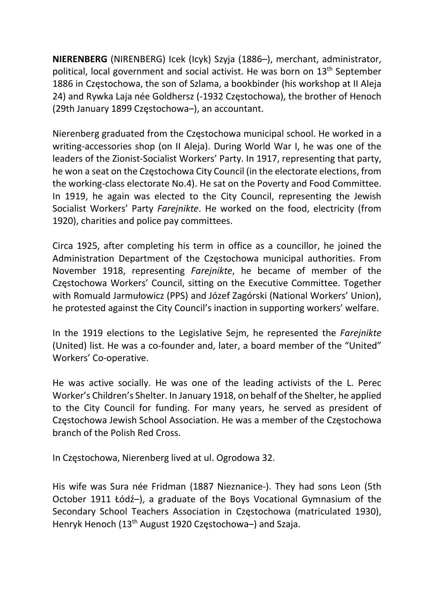NIERENBERG (NIRENBERG) Icek (Icyk) Szyja (1886–), merchant, administrator, political, local government and social activist. He was born on 13<sup>th</sup> September 1886 in Częstochowa, the son of Szlama, a bookbinder (his workshop at II Aleja 24) and Rywka Laja née Goldhersz (-1932 Częstochowa), the brother of Henoch (29th January 1899 Częstochowa–), an accountant.

Nierenberg graduated from the Częstochowa municipal school. He worked in a writing-accessories shop (on II Aleja). During World War I, he was one of the leaders of the Zionist-Socialist Workers' Party. In 1917, representing that party, he won a seat on the Częstochowa City Council (in the electorate elections, from the working-class electorate No.4). He sat on the Poverty and Food Committee. In 1919, he again was elected to the City Council, representing the Jewish Socialist Workers' Party Farejnikte. He worked on the food, electricity (from 1920), charities and police pay committees.

Circa 1925, after completing his term in office as a councillor, he joined the Administration Department of the Częstochowa municipal authorities. From November 1918, representing Farejnikte, he became of member of the Częstochowa Workers' Council, sitting on the Executive Committee. Together with Romuald Jarmułowicz (PPS) and Józef Zagórski (National Workers' Union), he protested against the City Council's inaction in supporting workers' welfare.

In the 1919 elections to the Legislative Sejm, he represented the Farejnikte (United) list. He was a co-founder and, later, a board member of the "United" Workers' Co-operative.

He was active socially. He was one of the leading activists of the L. Perec Worker's Children's Shelter. In January 1918, on behalf of the Shelter, he applied to the City Council for funding. For many years, he served as president of Częstochowa Jewish School Association. He was a member of the Częstochowa branch of the Polish Red Cross.

In Częstochowa, Nierenberg lived at ul. Ogrodowa 32.

His wife was Sura née Fridman (1887 Nieznanice-). They had sons Leon (5th October 1911 Łódź–), a graduate of the Boys Vocational Gymnasium of the Secondary School Teachers Association in Częstochowa (matriculated 1930), Henryk Henoch (13<sup>th</sup> August 1920 Częstochowa-) and Szaja.